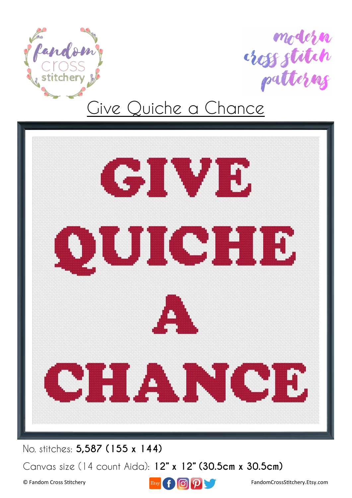





No. stitches: **5,587 (155 x 144)**

Canvas size (14 count Aida): **12" x 12" (30.5cm x 30.5cm)**

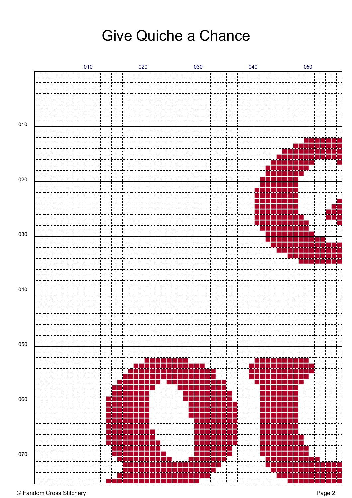

#### © Fandom Cross Stitchery Page 2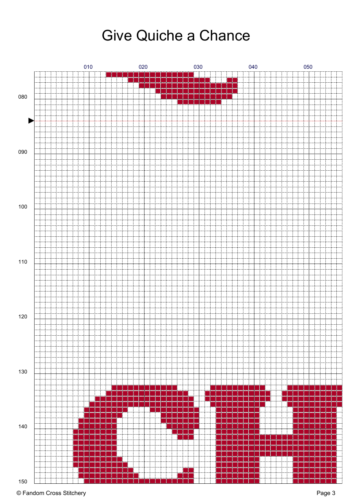

#### © Fandom Cross Stitchery Page 3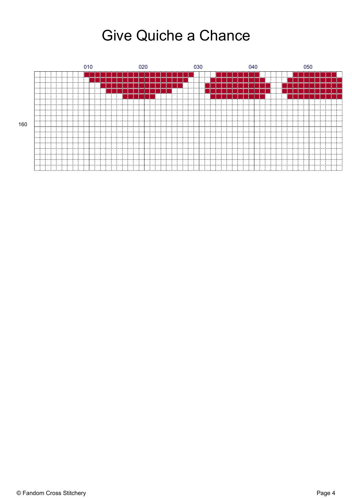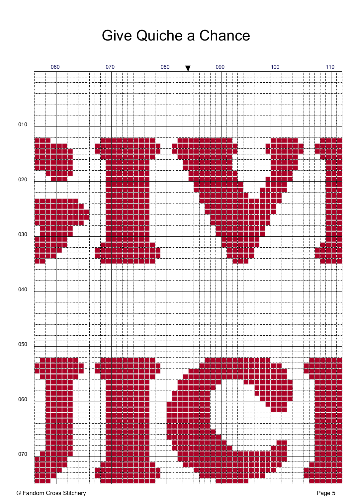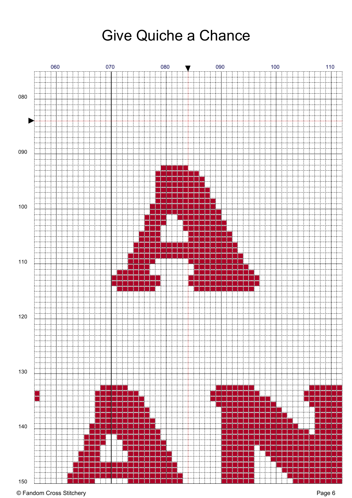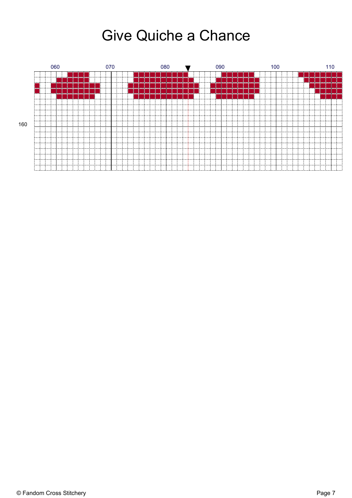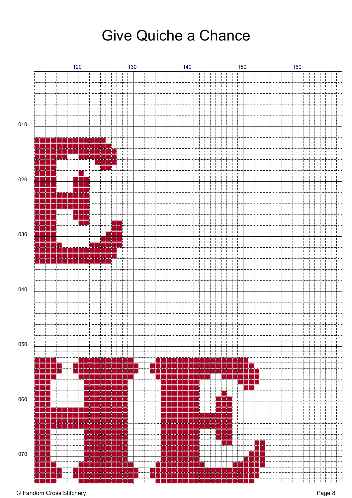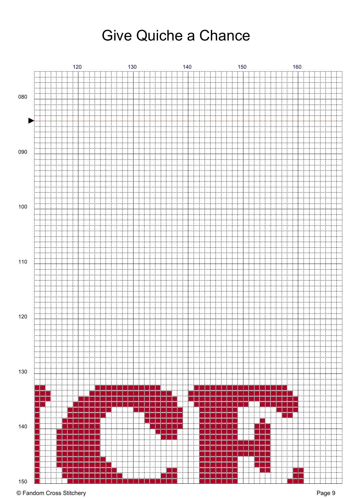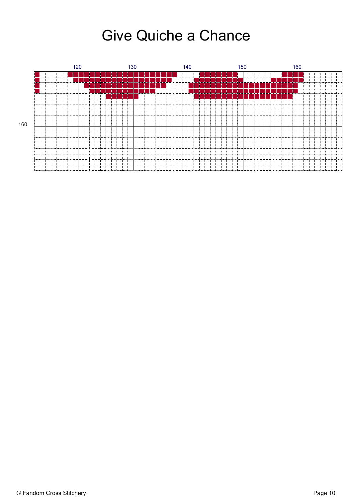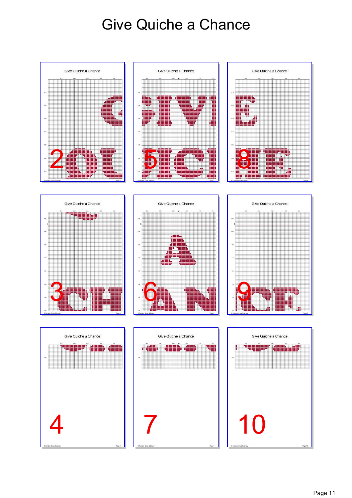